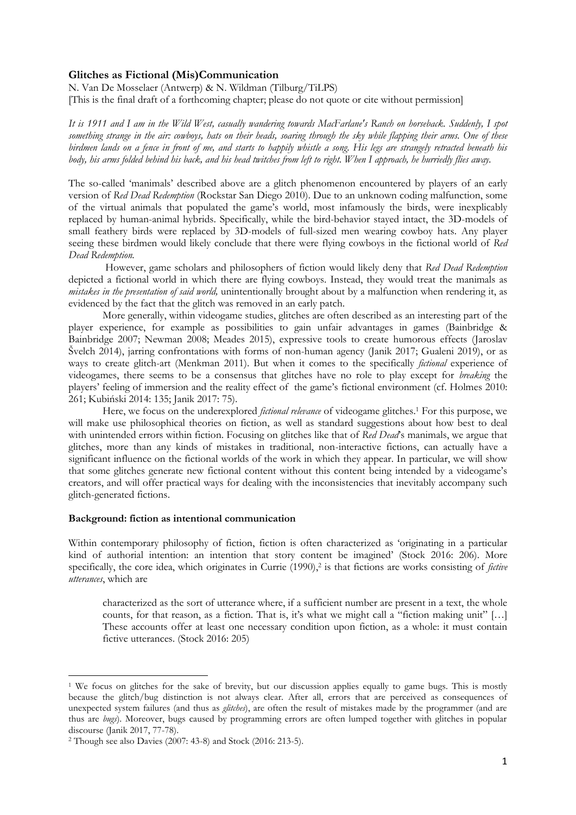## **Glitches as Fictional (Mis)Communication**

N. Van De Mosselaer (Antwerp) & N. Wildman (Tilburg/TiLPS) [This is the final draft of a forthcoming chapter; please do not quote or cite without permission]

*It is 1911 and I am in the Wild West, casually wandering towards MacFarlane's Ranch on horseback. Suddenly, I spot something strange in the air: cowboys, hats on their heads, soaring through the sky while flapping their arms. One of these birdmen lands on a fence in front of me, and starts to happily whistle a song. His legs are strangely retracted beneath his body, his arms folded behind his back, and his head twitches from left to right. When I approach, he hurriedly flies away.*

The so-called 'manimals' described above are a glitch phenomenon encountered by players of an early version of *Red Dead Redemption* (Rockstar San Diego 2010). Due to an unknown coding malfunction, some of the virtual animals that populated the game's world, most infamously the birds, were inexplicably replaced by human-animal hybrids. Specifically, while the bird-behavior stayed intact, the 3D-models of small feathery birds were replaced by 3D-models of full-sized men wearing cowboy hats. Any player seeing these birdmen would likely conclude that there were flying cowboys in the fictional world of *Red Dead Redemption.*

However, game scholars and philosophers of fiction would likely deny that *Red Dead Redemption*  depicted a fictional world in which there are flying cowboys. Instead, they would treat the manimals as *mistakes in the presentation of said world,* unintentionally brought about by a malfunction when rendering it, as evidenced by the fact that the glitch was removed in an early patch.

More generally, within videogame studies, glitches are often described as an interesting part of the player experience, for example as possibilities to gain unfair advantages in games (Bainbridge & Bainbridge 2007; Newman 2008; Meades 2015), expressive tools to create humorous effects (Jaroslav Švelch 2014), jarring confrontations with forms of non-human agency (Janik 2017; Gualeni 2019), or as ways to create glitch-art (Menkman 2011). But when it comes to the specifically *fictional* experience of videogames, there seems to be a consensus that glitches have no role to play except for *breaking* the players' feeling of immersion and the reality effect of the game's fictional environment (cf. Holmes 2010: 261; Kubiński 2014: 135; Janik 2017: 75).

Here, we focus on the underexplored *fictional relevance* of videogame glitches. <sup>1</sup> For this purpose, we will make use philosophical theories on fiction, as well as standard suggestions about how best to deal with unintended errors within fiction. Focusing on glitches like that of *Red Dead*'s manimals, we argue that glitches, more than any kinds of mistakes in traditional, non-interactive fictions, can actually have a significant influence on the fictional worlds of the work in which they appear. In particular, we will show that some glitches generate new fictional content without this content being intended by a videogame's creators, and will offer practical ways for dealing with the inconsistencies that inevitably accompany such glitch-generated fictions.

# **Background: fiction as intentional communication**

Within contemporary philosophy of fiction, fiction is often characterized as 'originating in a particular kind of authorial intention: an intention that story content be imagined' (Stock 2016: 206). More specifically, the core idea, which originates in Currie (1990), 2 is that fictions are works consisting of *fictive utterances*, which are

characterized as the sort of utterance where, if a sufficient number are present in a text, the whole counts, for that reason, as a fiction. That is, it's what we might call a "fiction making unit" […] These accounts offer at least one necessary condition upon fiction, as a whole: it must contain fictive utterances. (Stock 2016: 205)

1

<sup>&</sup>lt;sup>1</sup> We focus on glitches for the sake of brevity, but our discussion applies equally to game bugs. This is mostly because the glitch/bug distinction is not always clear. After all, errors that are perceived as consequences of unexpected system failures (and thus as *glitches*), are often the result of mistakes made by the programmer (and are thus are *bugs*). Moreover, bugs caused by programming errors are often lumped together with glitches in popular discourse (Janik 2017, 77-78).

<sup>2</sup> Though see also Davies (2007: 43-8) and Stock (2016: 213-5).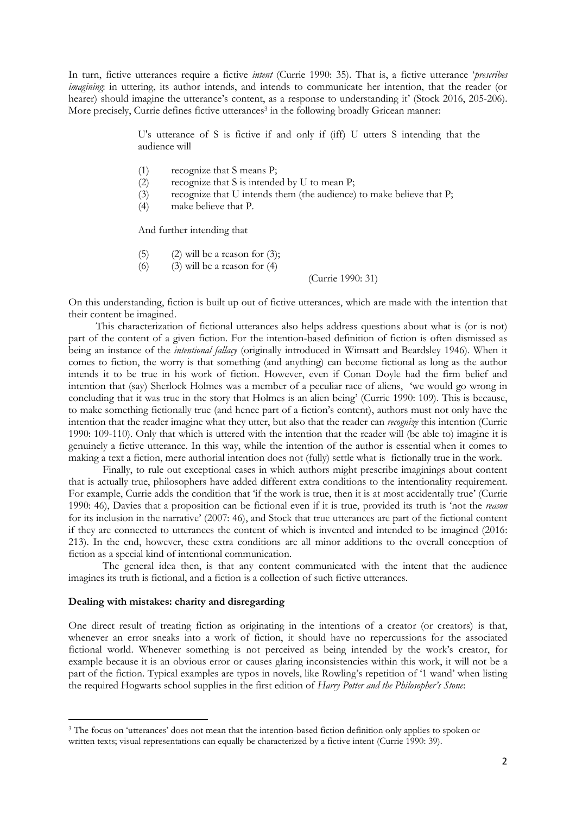In turn, fictive utterances require a fictive *intent* (Currie 1990: 35). That is, a fictive utterance '*prescribes imagining*: in uttering, its author intends, and intends to communicate her intention, that the reader (or hearer) should imagine the utterance's content, as a response to understanding it' (Stock 2016, 205-206). More precisely, Currie defines fictive utterances<sup>3</sup> in the following broadly Gricean manner:

> U's utterance of S is fictive if and only if (iff) U utters S intending that the audience will

- (1) recognize that S means P;
- (2) recognize that S is intended by U to mean P;
- (3) recognize that U intends them (the audience) to make believe that P;
- (4) make believe that P.

And further intending that

- (5) (2) will be a reason for  $(3)$ ;
- (6) (3) will be a reason for  $(4)$

(Currie 1990: 31)

On this understanding, fiction is built up out of fictive utterances, which are made with the intention that their content be imagined.

This characterization of fictional utterances also helps address questions about what is (or is not) part of the content of a given fiction. For the intention-based definition of fiction is often dismissed as being an instance of the *intentional fallacy* (originally introduced in Wimsatt and Beardsley 1946). When it comes to fiction, the worry is that something (and anything) can become fictional as long as the author intends it to be true in his work of fiction. However, even if Conan Doyle had the firm belief and intention that (say) Sherlock Holmes was a member of a peculiar race of aliens, 'we would go wrong in concluding that it was true in the story that Holmes is an alien being' (Currie 1990: 109). This is because, to make something fictionally true (and hence part of a fiction's content), authors must not only have the intention that the reader imagine what they utter, but also that the reader can *recognize* this intention (Currie 1990: 109-110). Only that which is uttered with the intention that the reader will (be able to) imagine it is genuinely a fictive utterance. In this way, while the intention of the author is essential when it comes to making a text a fiction, mere authorial intention does not (fully) settle what is fictionally true in the work.

Finally, to rule out exceptional cases in which authors might prescribe imaginings about content that is actually true, philosophers have added different extra conditions to the intentionality requirement. For example, Currie adds the condition that 'if the work is true, then it is at most accidentally true' (Currie 1990: 46), Davies that a proposition can be fictional even if it is true, provided its truth is 'not the *reason* for its inclusion in the narrative' (2007: 46), and Stock that true utterances are part of the fictional content if they are connected to utterances the content of which is invented and intended to be imagined (2016: 213). In the end, however, these extra conditions are all minor additions to the overall conception of fiction as a special kind of intentional communication.

The general idea then, is that any content communicated with the intent that the audience imagines its truth is fictional, and a fiction is a collection of such fictive utterances.

# **Dealing with mistakes: charity and disregarding**

1

One direct result of treating fiction as originating in the intentions of a creator (or creators) is that, whenever an error sneaks into a work of fiction, it should have no repercussions for the associated fictional world. Whenever something is not perceived as being intended by the work's creator, for example because it is an obvious error or causes glaring inconsistencies within this work, it will not be a part of the fiction. Typical examples are typos in novels, like Rowling's repetition of '1 wand' when listing the required Hogwarts school supplies in the first edition of *Harry Potter and the Philosopher's Stone*:

<sup>&</sup>lt;sup>3</sup> The focus on 'utterances' does not mean that the intention-based fiction definition only applies to spoken or written texts; visual representations can equally be characterized by a fictive intent (Currie 1990: 39).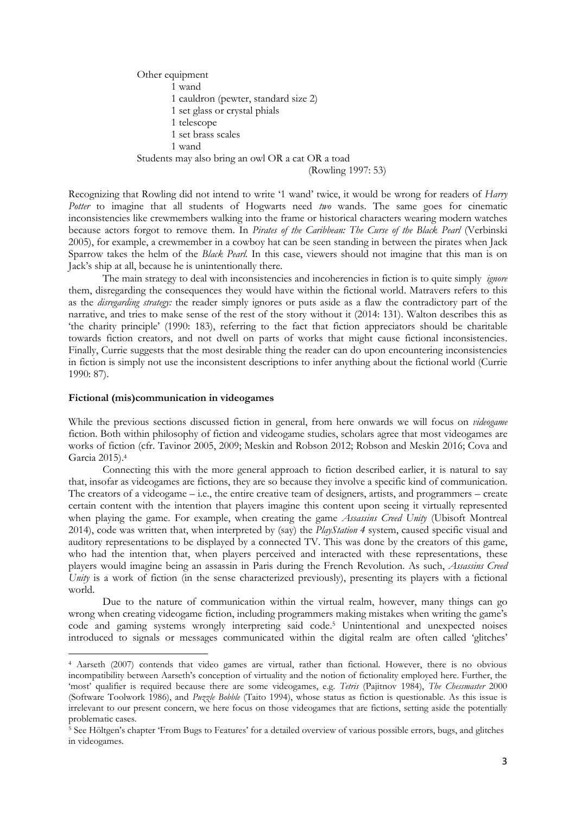Other equipment 1 wand 1 cauldron (pewter, standard size 2) 1 set glass or crystal phials 1 telescope 1 set brass scales 1 wand Students may also bring an owl OR a cat OR a toad

(Rowling 1997: 53)

Recognizing that Rowling did not intend to write '1 wand' twice, it would be wrong for readers of *Harry Potter* to imagine that all students of Hogwarts need *two* wands. The same goes for cinematic inconsistencies like crewmembers walking into the frame or historical characters wearing modern watches because actors forgot to remove them. In *Pirates of the Caribbean: The Curse of the Black Pearl* (Verbinski 2005), for example, a crewmember in a cowboy hat can be seen standing in between the pirates when Jack Sparrow takes the helm of the *Black Pearl.* In this case, viewers should not imagine that this man is on Jack's ship at all, because he is unintentionally there.

The main strategy to deal with inconsistencies and incoherencies in fiction is to quite simply *ignore*  them, disregarding the consequences they would have within the fictional world. Matravers refers to this as the *disregarding strategy:* the reader simply ignores or puts aside as a flaw the contradictory part of the narrative, and tries to make sense of the rest of the story without it (2014: 131). Walton describes this as 'the charity principle' (1990: 183), referring to the fact that fiction appreciators should be charitable towards fiction creators, and not dwell on parts of works that might cause fictional inconsistencies. Finally, Currie suggests that the most desirable thing the reader can do upon encountering inconsistencies in fiction is simply not use the inconsistent descriptions to infer anything about the fictional world (Currie 1990: 87).

## **Fictional (mis)communication in videogames**

 $\overline{\phantom{a}}$ 

While the previous sections discussed fiction in general, from here onwards we will focus on *videogame* fiction. Both within philosophy of fiction and videogame studies, scholars agree that most videogames are works of fiction (cfr. Tavinor 2005, 2009; Meskin and Robson 2012; Robson and Meskin 2016; Cova and Garcia 2015).<sup>4</sup>

Connecting this with the more general approach to fiction described earlier, it is natural to say that, insofar as videogames are fictions, they are so because they involve a specific kind of communication. The creators of a videogame – i.e., the entire creative team of designers, artists, and programmers – create certain content with the intention that players imagine this content upon seeing it virtually represented when playing the game. For example, when creating the game *Assassins Creed Unity* (Ubisoft Montreal 2014), code was written that, when interpreted by (say) the *PlayStation 4* system, caused specific visual and auditory representations to be displayed by a connected TV. This was done by the creators of this game, who had the intention that, when players perceived and interacted with these representations, these players would imagine being an assassin in Paris during the French Revolution. As such, *Assassins Creed Unity* is a work of fiction (in the sense characterized previously), presenting its players with a fictional world.

Due to the nature of communication within the virtual realm, however, many things can go wrong when creating videogame fiction, including programmers making mistakes when writing the game's code and gaming systems wrongly interpreting said code. <sup>5</sup> Unintentional and unexpected noises introduced to signals or messages communicated within the digital realm are often called 'glitches'

<sup>4</sup> Aarseth (2007) contends that video games are virtual, rather than fictional. However, there is no obvious incompatibility between Aarseth's conception of virtuality and the notion of fictionality employed here. Further, the 'most' qualifier is required because there are some videogames, e.g. *Tetris* (Pajitnov 1984), *The Chessmaster* 2000 (Software Toolwork 1986), and *Puzzle Bobble* (Taito 1994), whose status as fiction is questionable. As this issue is irrelevant to our present concern, we here focus on those videogames that are fictions, setting aside the potentially problematic cases.

<sup>5</sup> See Höltgen's chapter 'From Bugs to Features' for a detailed overview of various possible errors, bugs, and glitches in videogames.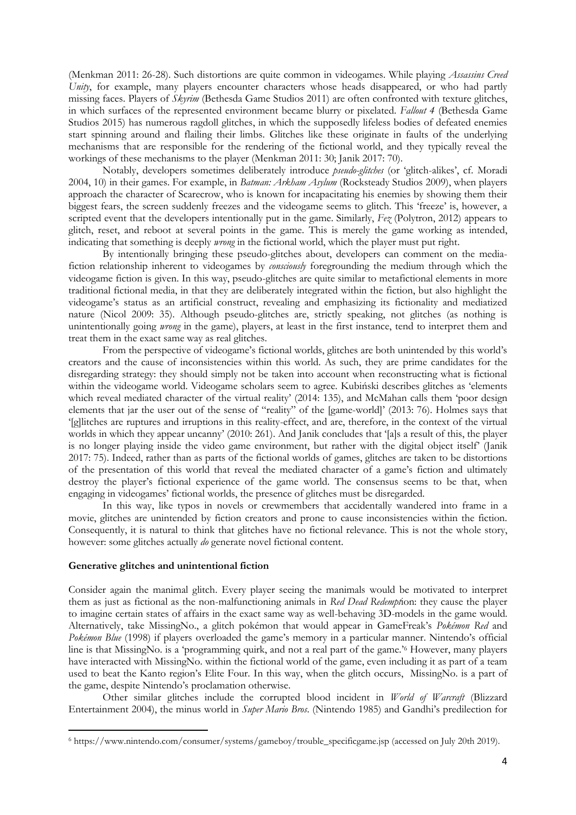(Menkman 2011: 26-28). Such distortions are quite common in videogames. While playing *Assassins Creed Unity*, for example, many players encounter characters whose heads disappeared, or who had partly missing faces. Players of *Skyrim* (Bethesda Game Studios 2011) are often confronted with texture glitches, in which surfaces of the represented environment became blurry or pixelated. *Fallout 4* (Bethesda Game Studios 2015) has numerous ragdoll glitches, in which the supposedly lifeless bodies of defeated enemies start spinning around and flailing their limbs. Glitches like these originate in faults of the underlying mechanisms that are responsible for the rendering of the fictional world, and they typically reveal the workings of these mechanisms to the player (Menkman 2011: 30; Janik 2017: 70).

Notably, developers sometimes deliberately introduce *pseudo-glitches* (or 'glitch-alikes', cf. Moradi 2004, 10) in their games. For example, in *Batman: Arkham Asylum* (Rocksteady Studios 2009), when players approach the character of Scarecrow, who is known for incapacitating his enemies by showing them their biggest fears, the screen suddenly freezes and the videogame seems to glitch. This 'freeze' is, however, a scripted event that the developers intentionally put in the game. Similarly, *Fez* (Polytron, 2012) appears to glitch, reset, and reboot at several points in the game. This is merely the game working as intended, indicating that something is deeply *wrong* in the fictional world, which the player must put right.

By intentionally bringing these pseudo-glitches about, developers can comment on the mediafiction relationship inherent to videogames by *consciously* foregrounding the medium through which the videogame fiction is given. In this way, pseudo-glitches are quite similar to metafictional elements in more traditional fictional media, in that they are deliberately integrated within the fiction, but also highlight the videogame's status as an artificial construct, revealing and emphasizing its fictionality and mediatized nature (Nicol 2009: 35). Although pseudo-glitches are, strictly speaking, not glitches (as nothing is unintentionally going *wrong* in the game), players, at least in the first instance, tend to interpret them and treat them in the exact same way as real glitches.

From the perspective of videogame's fictional worlds, glitches are both unintended by this world's creators and the cause of inconsistencies within this world. As such, they are prime candidates for the disregarding strategy: they should simply not be taken into account when reconstructing what is fictional within the videogame world. Videogame scholars seem to agree. Kubiński describes glitches as 'elements which reveal mediated character of the virtual reality' (2014: 135), and McMahan calls them 'poor design elements that jar the user out of the sense of "reality" of the [game-world]' (2013: 76). Holmes says that '[g]litches are ruptures and irruptions in this reality-effect, and are, therefore, in the context of the virtual worlds in which they appear uncanny' (2010: 261). And Janik concludes that '[a]s a result of this, the player is no longer playing inside the video game environment, but rather with the digital object itself' (Janik 2017: 75). Indeed, rather than as parts of the fictional worlds of games, glitches are taken to be distortions of the presentation of this world that reveal the mediated character of a game's fiction and ultimately destroy the player's fictional experience of the game world. The consensus seems to be that, when engaging in videogames' fictional worlds, the presence of glitches must be disregarded.

In this way, like typos in novels or crewmembers that accidentally wandered into frame in a movie, glitches are unintended by fiction creators and prone to cause inconsistencies within the fiction. Consequently, it is natural to think that glitches have no fictional relevance. This is not the whole story, however: some glitches actually *do* generate novel fictional content.

## **Generative glitches and unintentional fiction**

 $\overline{\phantom{a}}$ 

Consider again the manimal glitch. Every player seeing the manimals would be motivated to interpret them as just as fictional as the non-malfunctioning animals in *Red Dead Redempt*ion: they cause the player to imagine certain states of affairs in the exact same way as well-behaving 3D-models in the game would. Alternatively, take MissingNo., a glitch pokémon that would appear in GameFreak's *Pokémon Red* and *Pokémon Blue* (1998) if players overloaded the game's memory in a particular manner. Nintendo's official line is that MissingNo. is a 'programming quirk, and not a real part of the game.'<sup>6</sup> However, many players have interacted with MissingNo. within the fictional world of the game, even including it as part of a team used to beat the Kanto region's Elite Four. In this way, when the glitch occurs, MissingNo. is a part of the game, despite Nintendo's proclamation otherwise.

Other similar glitches include the corrupted blood incident in *World of Warcraft* (Blizzard Entertainment 2004), the minus world in *Super Mario Bros*. (Nintendo 1985) and Gandhi's predilection for

<sup>6</sup> https://www.nintendo.com/consumer/systems/gameboy/trouble\_specificgame.jsp (accessed on July 20th 2019).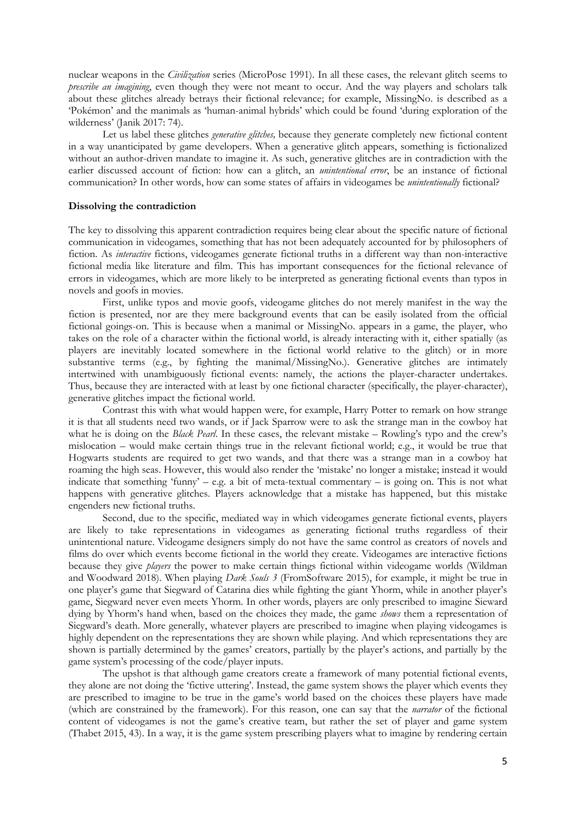nuclear weapons in the *Civilization* series (MicroPose 1991). In all these cases, the relevant glitch seems to *prescribe an imagining*, even though they were not meant to occur. And the way players and scholars talk about these glitches already betrays their fictional relevance; for example, MissingNo. is described as a 'Pokémon' and the manimals as 'human-animal hybrids' which could be found 'during exploration of the wilderness' (Janik 2017: 74).

Let us label these glitches *generative glitches,* because they generate completely new fictional content in a way unanticipated by game developers. When a generative glitch appears, something is fictionalized without an author-driven mandate to imagine it. As such, generative glitches are in contradiction with the earlier discussed account of fiction: how can a glitch, an *unintentional error*, be an instance of fictional communication? In other words, how can some states of affairs in videogames be *unintentionally* fictional?

# **Dissolving the contradiction**

The key to dissolving this apparent contradiction requires being clear about the specific nature of fictional communication in videogames, something that has not been adequately accounted for by philosophers of fiction. As *interactive* fictions, videogames generate fictional truths in a different way than non-interactive fictional media like literature and film. This has important consequences for the fictional relevance of errors in videogames, which are more likely to be interpreted as generating fictional events than typos in novels and goofs in movies.

First, unlike typos and movie goofs, videogame glitches do not merely manifest in the way the fiction is presented, nor are they mere background events that can be easily isolated from the official fictional goings-on. This is because when a manimal or MissingNo. appears in a game, the player, who takes on the role of a character within the fictional world, is already interacting with it, either spatially (as players are inevitably located somewhere in the fictional world relative to the glitch) or in more substantive terms (e.g., by fighting the manimal/MissingNo.). Generative glitches are intimately intertwined with unambiguously fictional events: namely, the actions the player-character undertakes. Thus, because they are interacted with at least by one fictional character (specifically, the player-character), generative glitches impact the fictional world.

Contrast this with what would happen were, for example, Harry Potter to remark on how strange it is that all students need two wands, or if Jack Sparrow were to ask the strange man in the cowboy hat what he is doing on the *Black Pearl*. In these cases, the relevant mistake – Rowling's typo and the crew's mislocation – would make certain things true in the relevant fictional world; e.g., it would be true that Hogwarts students are required to get two wands, and that there was a strange man in a cowboy hat roaming the high seas. However, this would also render the 'mistake' no longer a mistake; instead it would indicate that something 'funny' – e.g. a bit of meta-textual commentary – is going on. This is not what happens with generative glitches. Players acknowledge that a mistake has happened, but this mistake engenders new fictional truths.

Second, due to the specific, mediated way in which videogames generate fictional events, players are likely to take representations in videogames as generating fictional truths regardless of their unintentional nature. Videogame designers simply do not have the same control as creators of novels and films do over which events become fictional in the world they create. Videogames are interactive fictions because they give *players* the power to make certain things fictional within videogame worlds (Wildman and Woodward 2018). When playing *Dark Souls 3* (FromSoftware 2015), for example, it might be true in one player's game that Siegward of Catarina dies while fighting the giant Yhorm, while in another player's game, Siegward never even meets Yhorm. In other words, players are only prescribed to imagine Sieward dying by Yhorm's hand when, based on the choices they made, the game *shows* them a representation of Siegward's death. More generally, whatever players are prescribed to imagine when playing videogames is highly dependent on the representations they are shown while playing. And which representations they are shown is partially determined by the games' creators, partially by the player's actions, and partially by the game system's processing of the code/player inputs.

The upshot is that although game creators create a framework of many potential fictional events, they alone are not doing the 'fictive uttering'. Instead, the game system shows the player which events they are prescribed to imagine to be true in the game's world based on the choices these players have made (which are constrained by the framework). For this reason, one can say that the *narrator* of the fictional content of videogames is not the game's creative team, but rather the set of player and game system (Thabet 2015, 43). In a way, it is the game system prescribing players what to imagine by rendering certain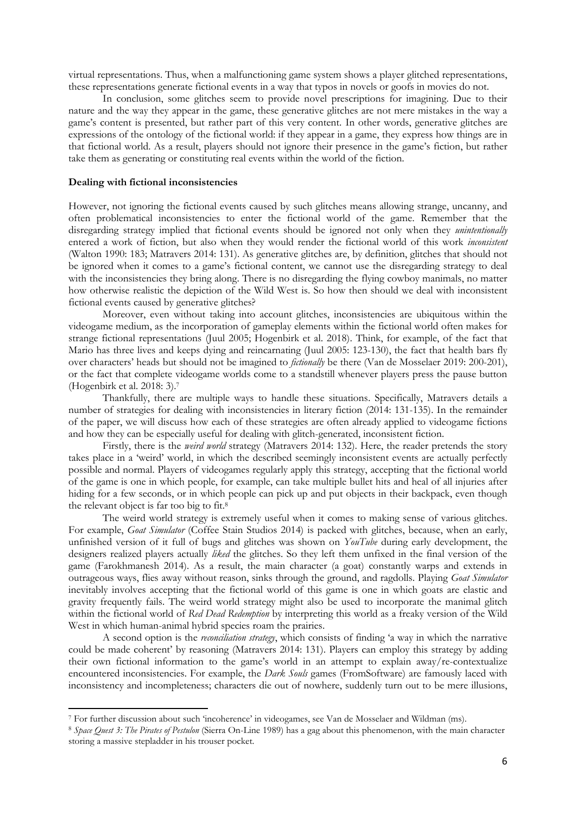virtual representations. Thus, when a malfunctioning game system shows a player glitched representations, these representations generate fictional events in a way that typos in novels or goofs in movies do not.

In conclusion, some glitches seem to provide novel prescriptions for imagining. Due to their nature and the way they appear in the game, these generative glitches are not mere mistakes in the way a game's content is presented, but rather part of this very content. In other words, generative glitches are expressions of the ontology of the fictional world: if they appear in a game, they express how things are in that fictional world. As a result, players should not ignore their presence in the game's fiction, but rather take them as generating or constituting real events within the world of the fiction.

#### **Dealing with fictional inconsistencies**

1

However, not ignoring the fictional events caused by such glitches means allowing strange, uncanny, and often problematical inconsistencies to enter the fictional world of the game. Remember that the disregarding strategy implied that fictional events should be ignored not only when they *unintentionally*  entered a work of fiction, but also when they would render the fictional world of this work *inconsistent* (Walton 1990: 183; Matravers 2014: 131). As generative glitches are, by definition, glitches that should not be ignored when it comes to a game's fictional content, we cannot use the disregarding strategy to deal with the inconsistencies they bring along. There is no disregarding the flying cowboy manimals, no matter how otherwise realistic the depiction of the Wild West is. So how then should we deal with inconsistent fictional events caused by generative glitches?

Moreover, even without taking into account glitches, inconsistencies are ubiquitous within the videogame medium, as the incorporation of gameplay elements within the fictional world often makes for strange fictional representations (Juul 2005; Hogenbirk et al. 2018). Think, for example, of the fact that Mario has three lives and keeps dying and reincarnating (Juul 2005: 123-130), the fact that health bars fly over characters' heads but should not be imagined to *fictionally* be there (Van de Mosselaer 2019: 200-201), or the fact that complete videogame worlds come to a standstill whenever players press the pause button (Hogenbirk et al. 2018: 3). 7

Thankfully, there are multiple ways to handle these situations. Specifically, Matravers details a number of strategies for dealing with inconsistencies in literary fiction (2014: 131-135). In the remainder of the paper, we will discuss how each of these strategies are often already applied to videogame fictions and how they can be especially useful for dealing with glitch-generated, inconsistent fiction.

Firstly, there is the *weird world* strategy (Matravers 2014: 132). Here, the reader pretends the story takes place in a 'weird' world, in which the described seemingly inconsistent events are actually perfectly possible and normal. Players of videogames regularly apply this strategy, accepting that the fictional world of the game is one in which people, for example, can take multiple bullet hits and heal of all injuries after hiding for a few seconds, or in which people can pick up and put objects in their backpack, even though the relevant object is far too big to fit.<sup>8</sup>

The weird world strategy is extremely useful when it comes to making sense of various glitches. For example, *Goat Simulator* (Coffee Stain Studios 2014) is packed with glitches, because, when an early, unfinished version of it full of bugs and glitches was shown on *YouTube* during early development, the designers realized players actually *liked* the glitches. So they left them unfixed in the final version of the game (Farokhmanesh 2014). As a result, the main character (a goat) constantly warps and extends in outrageous ways, flies away without reason, sinks through the ground, and ragdolls. Playing *Goat Simulator* inevitably involves accepting that the fictional world of this game is one in which goats are elastic and gravity frequently fails. The weird world strategy might also be used to incorporate the manimal glitch within the fictional world of *Red Dead Redemption* by interpreting this world as a freaky version of the Wild West in which human-animal hybrid species roam the prairies.

A second option is the *reconciliation strategy*, which consists of finding 'a way in which the narrative could be made coherent' by reasoning (Matravers 2014: 131). Players can employ this strategy by adding their own fictional information to the game's world in an attempt to explain away/re-contextualize encountered inconsistencies. For example, the *Dark Souls* games (FromSoftware) are famously laced with inconsistency and incompleteness; characters die out of nowhere, suddenly turn out to be mere illusions,

<sup>7</sup> For further discussion about such 'incoherence' in videogames, see Van de Mosselaer and Wildman (ms).

<sup>8</sup> *Space Quest 3: The Pirates of Pestulon* (Sierra On-Line 1989) has a gag about this phenomenon, with the main character storing a massive stepladder in his trouser pocket.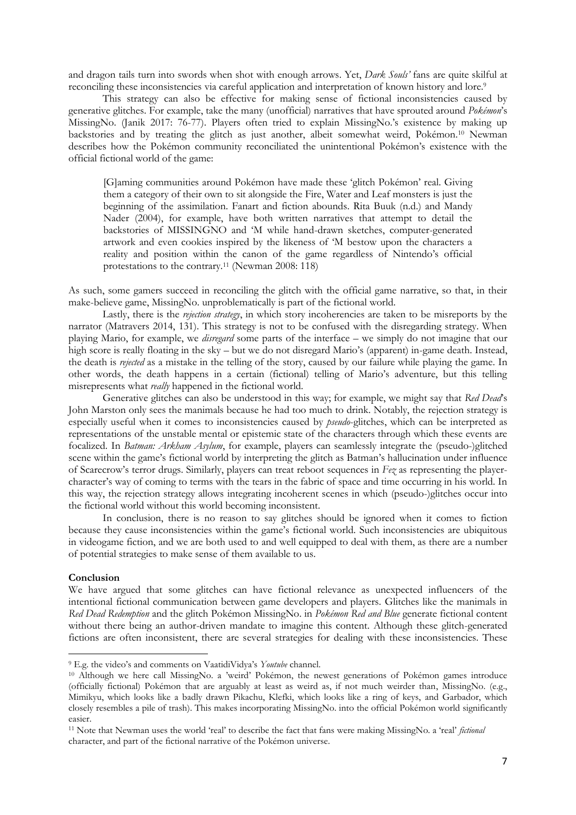and dragon tails turn into swords when shot with enough arrows. Yet, *Dark Souls'* fans are quite skilful at reconciling these inconsistencies via careful application and interpretation of known history and lore.<sup>9</sup>

This strategy can also be effective for making sense of fictional inconsistencies caused by generative glitches. For example, take the many (unofficial) narratives that have sprouted around *Pokémon*'s MissingNo. (Janik 2017: 76-77). Players often tried to explain MissingNo.'s existence by making up backstories and by treating the glitch as just another, albeit somewhat weird, Pokémon.<sup>10</sup> Newman describes how the Pokémon community reconciliated the unintentional Pokémon's existence with the official fictional world of the game:

[G]aming communities around Pokémon have made these 'glitch Pokémon' real. Giving them a category of their own to sit alongside the Fire, Water and Leaf monsters is just the beginning of the assimilation. Fanart and fiction abounds. Rita Buuk (n.d.) and Mandy Nader (2004), for example, have both written narratives that attempt to detail the backstories of MISSINGNO and 'M while hand-drawn sketches, computer-generated artwork and even cookies inspired by the likeness of 'M bestow upon the characters a reality and position within the canon of the game regardless of Nintendo's official protestations to the contrary.<sup>11</sup> (Newman 2008: 118)

As such, some gamers succeed in reconciling the glitch with the official game narrative, so that, in their make-believe game, MissingNo. unproblematically is part of the fictional world.

Lastly, there is the *rejection strategy*, in which story incoherencies are taken to be misreports by the narrator (Matravers 2014, 131). This strategy is not to be confused with the disregarding strategy. When playing Mario, for example, we *disregard* some parts of the interface – we simply do not imagine that our high score is really floating in the sky – but we do not disregard Mario's (apparent) in-game death. Instead, the death is *rejected* as a mistake in the telling of the story, caused by our failure while playing the game. In other words, the death happens in a certain (fictional) telling of Mario's adventure, but this telling misrepresents what *really* happened in the fictional world.

Generative glitches can also be understood in this way; for example, we might say that *Red Dead*'s John Marston only sees the manimals because he had too much to drink. Notably, the rejection strategy is especially useful when it comes to inconsistencies caused by *pseudo*-glitches, which can be interpreted as representations of the unstable mental or epistemic state of the characters through which these events are focalized. In *Batman: Arkham Asylum*, for example, players can seamlessly integrate the (pseudo-)glitched scene within the game's fictional world by interpreting the glitch as Batman's hallucination under influence of Scarecrow's terror drugs. Similarly, players can treat reboot sequences in *Fez* as representing the playercharacter's way of coming to terms with the tears in the fabric of space and time occurring in his world. In this way, the rejection strategy allows integrating incoherent scenes in which (pseudo-)glitches occur into the fictional world without this world becoming inconsistent.

In conclusion, there is no reason to say glitches should be ignored when it comes to fiction because they cause inconsistencies within the game's fictional world. Such inconsistencies are ubiquitous in videogame fiction, and we are both used to and well equipped to deal with them, as there are a number of potential strategies to make sense of them available to us.

# **Conclusion**

 $\overline{\phantom{a}}$ 

We have argued that some glitches can have fictional relevance as unexpected influencers of the intentional fictional communication between game developers and players. Glitches like the manimals in *Red Dead Redemption* and the glitch Pokémon MissingNo. in *Pokémon Red and Blue* generate fictional content without there being an author-driven mandate to imagine this content. Although these glitch-generated fictions are often inconsistent, there are several strategies for dealing with these inconsistencies. These

<sup>9</sup> E.g. the video's and comments on VaatidiVidya's *Youtube* channel.

<sup>10</sup> Although we here call MissingNo. a 'weird' Pokémon, the newest generations of Pokémon games introduce (officially fictional) Pokémon that are arguably at least as weird as, if not much weirder than, MissingNo. (e.g., Mimikyu, which looks like a badly drawn Pikachu, Klefki, which looks like a ring of keys, and Garbador, which closely resembles a pile of trash). This makes incorporating MissingNo. into the official Pokémon world significantly easier.

<sup>11</sup> Note that Newman uses the world 'real' to describe the fact that fans were making MissingNo. a 'real' *fictional* character, and part of the fictional narrative of the Pokémon universe.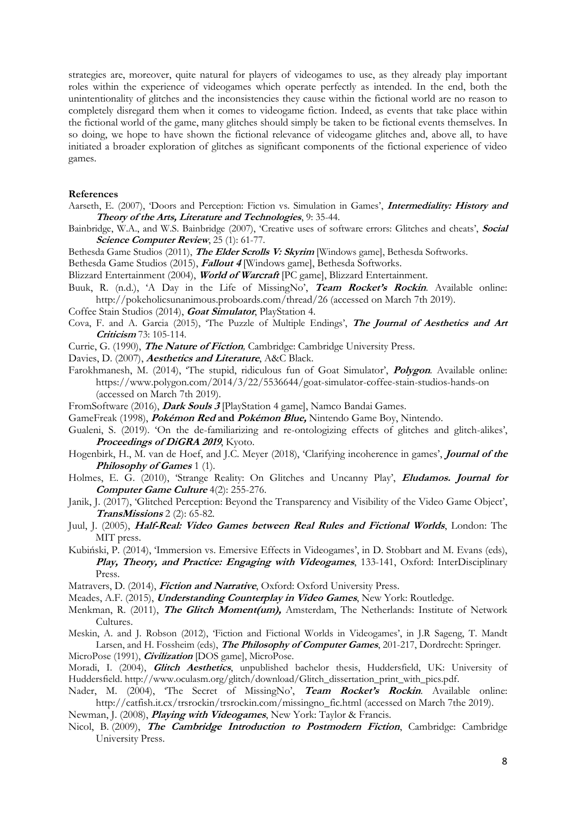strategies are, moreover, quite natural for players of videogames to use, as they already play important roles within the experience of videogames which operate perfectly as intended. In the end, both the unintentionality of glitches and the inconsistencies they cause within the fictional world are no reason to completely disregard them when it comes to videogame fiction. Indeed, as events that take place within the fictional world of the game, many glitches should simply be taken to be fictional events themselves. In so doing, we hope to have shown the fictional relevance of videogame glitches and, above all, to have initiated a broader exploration of glitches as significant components of the fictional experience of video games.

#### **References**

- Aarseth, E. (2007), 'Doors and Perception: Fiction vs. Simulation in Games', **Intermediality: History and Theory of the Arts, Literature and Technologies**, 9: 35-44.
- Bainbridge, W.A., and W.S. Bainbridge (2007), 'Creative uses of software errors: Glitches and cheats', **Social Science Computer Review**, 25 (1): 61-77.
- Bethesda Game Studios (2011), **The Elder Scrolls V: Skyrim** [Windows game], Bethesda Softworks.
- Bethesda Game Studios (2015), **Fallout 4** [Windows game], Bethesda Softworks.
- Blizzard Entertainment (2004), **World of Warcraft** [PC game], Blizzard Entertainment.
- Buuk, R. (n.d.), 'A Day in the Life of MissingNo', **Team Rocket's Rockin**. Available online: http://pokeholicsunanimous.proboards.com/thread/26 (accessed on March 7th 2019).
- Coffee Stain Studios (2014), **Goat Simulator**, PlayStation 4.
- Cova, F. and A. Garcia (2015), 'The Puzzle of Multiple Endings', **The Journal of Aesthetics and Art Criticism** 73: 105-114.
- Currie, G. (1990), **The Nature of Fiction***,* Cambridge: Cambridge University Press.
- Davies, D. (2007), **Aesthetics and Literature**, A&C Black.
- Farokhmanesh, M. (2014), 'The stupid, ridiculous fun of Goat Simulator', **Polygon***.* Available online: https://www.polygon.com/2014/3/22/5536644/goat-simulator-coffee-stain-studios-hands-on (accessed on March 7th 2019).
- FromSoftware (2016), **Dark Souls 3** [PlayStation 4 game], Namco Bandai Games.
- GameFreak (1998), **Pokémon Red and Pokémon Blue,** Nintendo Game Boy, Nintendo.
- Gualeni, S. (2019). 'On the de-familiarizing and re-ontologizing effects of glitches and glitch-alikes', **Proceedings of DiGRA 2019**, Kyoto.
- Hogenbirk, H., M. van de Hoef, and J.C. Meyer (2018), 'Clarifying incoherence in games', **Journal of the Philosophy of Games** 1 (1).
- Holmes, E. G. (2010), 'Strange Reality: On Glitches and Uncanny Play', **Eludamos. Journal for Computer Game Culture** 4(2): 255-276.
- Janik, J. (2017), 'Glitched Perception: Beyond the Transparency and Visibility of the Video Game Object', **TransMissions** 2 (2): 65-82.
- Juul, J. (2005), **Half-Real: Video Games between Real Rules and Fictional Worlds**, London: The MIT press.
- Kubiński, P. (2014), 'Immersion vs. Emersive Effects in Videogames', in D. Stobbart and M. Evans (eds), **Play, Theory, and Practice: Engaging with Videogames**, 133-141, Oxford: InterDisciplinary Press.
- Matravers, D. (2014), **Fiction and Narrative**, Oxford: Oxford University Press.
- Meades, A.F. (2015), **Understanding Counterplay in Video Games**, New York: Routledge.
- Menkman, R. (2011), **The Glitch Moment(um),** Amsterdam, The Netherlands: Institute of Network Cultures.
- Meskin, A. and J. Robson (2012), 'Fiction and Fictional Worlds in Videogames', in J.R Sageng, T. Mandt Larsen, and H. Fossheim (eds), **The Philosophy of Computer Games**, 201-217, Dordrecht: Springer. MicroPose (1991), **Civilization** [DOS game], MicroPose.
- Moradi, I. (2004), **Glitch Aesthetics**, unpublished bachelor thesis, Huddersfield, UK: University of Huddersfield. http://www.oculasm.org/glitch/download/Glitch\_dissertation\_print\_with\_pics.pdf.
- Nader, M. (2004), 'The Secret of MissingNo', **Team Rocket's Rockin**. Available online: http://catfish.it.cx/trsrockin/trsrockin.com/missingno\_fic.html (accessed on March 7the 2019).
- Newman, J. (2008), **Playing with Videogames**, New York: Taylor & Francis.
- Nicol, B. (2009), **The Cambridge Introduction to Postmodern Fiction**, Cambridge: Cambridge University Press.